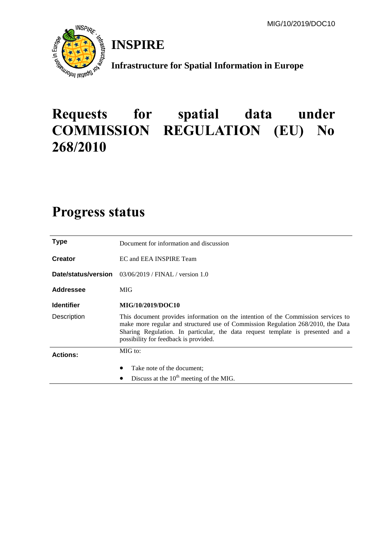



**Infrastructure for Spatial Information in Europe**

# **Requests for spatial data under COMMISSION REGULATION (EU) No 268/2010**

## **Progress status**

| <b>Type</b>       | Document for information and discussion                                                                                                                                                                                                                                                           |  |  |  |  |
|-------------------|---------------------------------------------------------------------------------------------------------------------------------------------------------------------------------------------------------------------------------------------------------------------------------------------------|--|--|--|--|
| <b>Creator</b>    | EC and EEA INSPIRE Team                                                                                                                                                                                                                                                                           |  |  |  |  |
|                   | <b>Date/status/version</b> 03/06/2019 / FINAL / version 1.0                                                                                                                                                                                                                                       |  |  |  |  |
| Addressee         | MIG                                                                                                                                                                                                                                                                                               |  |  |  |  |
| <b>Identifier</b> | MIG/10/2019/DOC10                                                                                                                                                                                                                                                                                 |  |  |  |  |
| Description       | This document provides information on the intention of the Commission services to<br>make more regular and structured use of Commission Regulation 268/2010, the Data<br>Sharing Regulation. In particular, the data request template is presented and a<br>possibility for feedback is provided. |  |  |  |  |
| <b>Actions:</b>   | MIG to:                                                                                                                                                                                                                                                                                           |  |  |  |  |
|                   | Take note of the document;                                                                                                                                                                                                                                                                        |  |  |  |  |
|                   | Discuss at the $10^{th}$ meeting of the MIG.<br>$\bullet$                                                                                                                                                                                                                                         |  |  |  |  |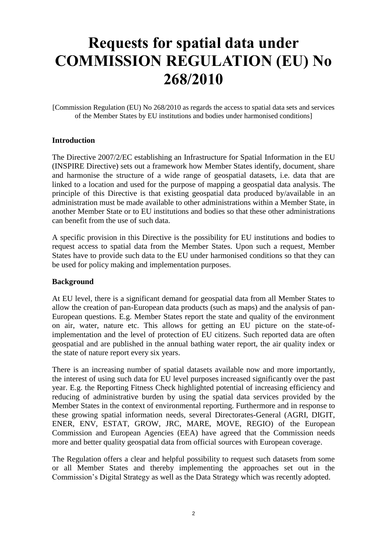# **Requests for spatial data under COMMISSION REGULATION (EU) No 268/2010**

[Commission Regulation (EU) No 268/2010 as regards the access to spatial data sets and services of the Member States by EU institutions and bodies under harmonised conditions]

#### **Introduction**

The Directive 2007/2/EC establishing an Infrastructure for Spatial Information in the EU (INSPIRE Directive) sets out a framework how Member States identify, document, share and harmonise the structure of a wide range of geospatial datasets, i.e. data that are linked to a location and used for the purpose of mapping a geospatial data analysis. The principle of this Directive is that existing geospatial data produced by/available in an administration must be made available to other administrations within a Member State, in another Member State or to EU institutions and bodies so that these other administrations can benefit from the use of such data.

A specific provision in this Directive is the possibility for EU institutions and bodies to request access to spatial data from the Member States. Upon such a request, Member States have to provide such data to the EU under harmonised conditions so that they can be used for policy making and implementation purposes.

#### **Background**

At EU level, there is a significant demand for geospatial data from all Member States to allow the creation of pan-European data products (such as maps) and the analysis of pan-European questions. E.g. Member States report the state and quality of the environment on air, water, nature etc. This allows for getting an EU picture on the state-ofimplementation and the level of protection of EU citizens. Such reported data are often geospatial and are published in the annual bathing water report, the air quality index or the state of nature report every six years.

There is an increasing number of spatial datasets available now and more importantly, the interest of using such data for EU level purposes increased significantly over the past year. E.g. the Reporting Fitness Check highlighted potential of increasing efficiency and reducing of administrative burden by using the spatial data services provided by the Member States in the context of environmental reporting. Furthermore and in response to these growing spatial information needs, several Directorates-General (AGRI, DIGIT, ENER, ENV, ESTAT, GROW, JRC, MARE, MOVE, REGIO) of the European Commission and European Agencies (EEA) have agreed that the Commission needs more and better quality geospatial data from official sources with European coverage.

The Regulation offers a clear and helpful possibility to request such datasets from some or all Member States and thereby implementing the approaches set out in the Commission's Digital Strategy as well as the Data Strategy which was recently adopted.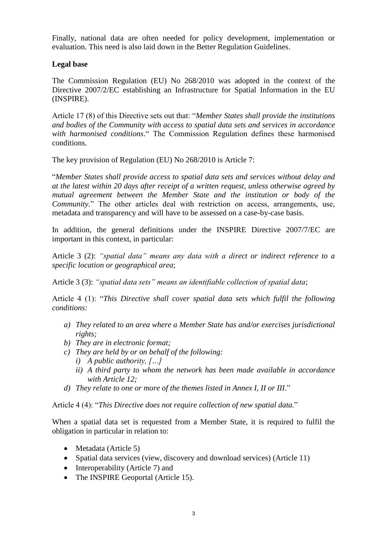Finally, national data are often needed for policy development, implementation or evaluation. This need is also laid down in the Better Regulation Guidelines.

#### **Legal base**

The Commission Regulation (EU) No 268/2010 was adopted in the context of the Directive 2007/2/EC establishing an Infrastructure for Spatial Information in the EU (INSPIRE).

Article 17 (8) of this Directive sets out that: "*Member States shall provide the institutions and bodies of the Community with access to spatial data sets and services in accordance with harmonised conditions*." The Commission Regulation defines these harmonised conditions.

The key provision of Regulation (EU) No 268/2010 is Article 7:

"*Member States shall provide access to spatial data sets and services without delay and at the latest within 20 days after receipt of a written request, unless otherwise agreed by mutual agreement between the Member State and the institution or body of the Community.*" The other articles deal with restriction on access, arrangements, use, metadata and transparency and will have to be assessed on a case-by-case basis.

In addition, the general definitions under the INSPIRE Directive 2007/7/EC are important in this context, in particular:

Article 3 (2): *"spatial data" means any data with a direct or indirect reference to a specific location or geographical area*;

Article 3 (3): *"spatial data sets" means an identifiable collection of spatial data*;

Article 4 (1): "*This Directive shall cover spatial data sets which fulfil the following conditions:*

- *a) They related to an area where a Member State has and/or exercises jurisdictional rights;*
- *b) They are in electronic format;*
- *c) They are held by or on behalf of the following: i) A public authority, […]*
	- *ii) A third party to whom the network has been made available in accordance with Article 12;*
- *d) They relate to one or more of the themes listed in Annex I, II or III.*"

Article 4 (4): "*This Directive does not require collection of new spatial data.*"

When a spatial data set is requested from a Member State, it is required to fulfil the obligation in particular in relation to:

- Metadata (Article 5)
- Spatial data services (view, discovery and download services) (Article 11)
- Interoperability (Article 7) and
- The INSPIRE Geoportal (Article 15).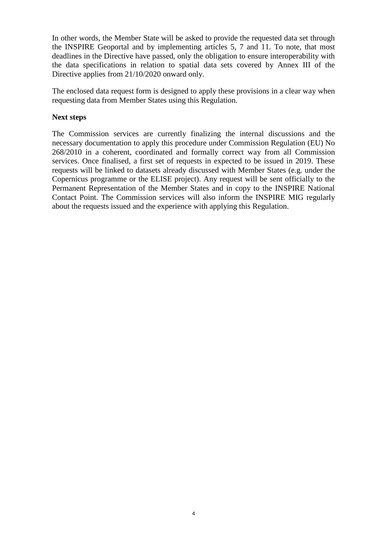In other words, the Member State will be asked to provide the requested data set through the INSPIRE Geoportal and by implementing articles 5, 7 and 11. To note, that most deadlines in the Directive have passed, only the obligation to ensure interoperability with the data specifications in relation to spatial data sets covered by Annex III of the Directive applies from 21/10/2020 onward only.

The enclosed data request form is designed to apply these provisions in a clear way when requesting data from Member States using this Regulation.

#### **Next steps**

The Commission services are currently finalizing the internal discussions and the necessary documentation to apply this procedure under Commission Regulation (EU) No 268/2010 in a coherent, coordinated and formally correct way from all Commission services. Once finalised, a first set of requests in expected to be issued in 2019. These requests will be linked to datasets already discussed with Member States (e.g. under the Copernicus programme or the ELISE project). Any request will be sent officially to the Permanent Representation of the Member States and in copy to the INSPIRE National Contact Point. The Commission services will also inform the INSPIRE MIG regularly about the requests issued and the experience with applying this Regulation.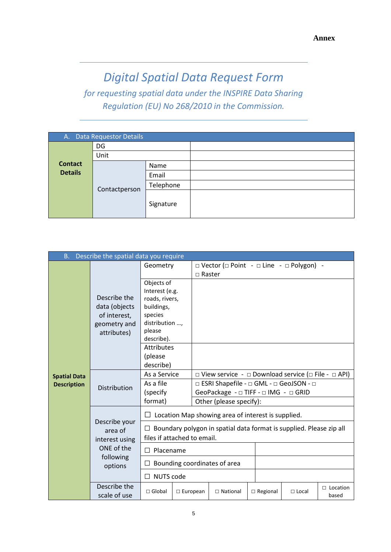### *Digital Spatial Data Request Form*

*for requesting spatial data under the INSPIRE Data Sharing Regulation (EU) No 268/2010 in the Commission.*

| A. Data Requestor Details |               |           |  |
|---------------------------|---------------|-----------|--|
|                           | DG            |           |  |
| Unit                      |               |           |  |
| <b>Contact</b>            |               | Name      |  |
| <b>Details</b>            | Contactperson | Email     |  |
|                           |               | Telephone |  |
|                           |               | Signature |  |

| <b>B.</b>           | Describe the spatial data you require                                            |                                                                                                                                        |                 |                                                                           |                 |              |                          |  |
|---------------------|----------------------------------------------------------------------------------|----------------------------------------------------------------------------------------------------------------------------------------|-----------------|---------------------------------------------------------------------------|-----------------|--------------|--------------------------|--|
|                     | Describe the<br>data (objects<br>of interest,<br>geometry and<br>attributes)     | Geometry                                                                                                                               |                 | $\Box$ Vector ( $\Box$ Point - $\Box$ Line - $\Box$ Polygon) -            |                 |              |                          |  |
|                     |                                                                                  |                                                                                                                                        |                 | $\Box$ Raster                                                             |                 |              |                          |  |
|                     |                                                                                  | Objects of<br>Interest (e.g.<br>roads, rivers,<br>buildings,<br>species<br>distribution ,<br>please<br>describe).<br><b>Attributes</b> |                 |                                                                           |                 |              |                          |  |
|                     |                                                                                  | (please<br>describe)                                                                                                                   |                 |                                                                           |                 |              |                          |  |
| <b>Spatial Data</b> |                                                                                  | As a Service                                                                                                                           |                 | $\Box$ View service - $\Box$ Download service ( $\Box$ File - $\Box$ API) |                 |              |                          |  |
| <b>Description</b>  | <b>Distribution</b>                                                              | As a file                                                                                                                              |                 | □ ESRI Shapefile - □ GML - □ GeoJSON - □                                  |                 |              |                          |  |
|                     |                                                                                  | (specify                                                                                                                               |                 | GeoPackage - $\Box$ TIFF - $\Box$ IMG - $\Box$ GRID                       |                 |              |                          |  |
|                     |                                                                                  | format)                                                                                                                                |                 | Other (please specify):                                                   |                 |              |                          |  |
|                     |                                                                                  | $\Box$ Location Map showing area of interest is supplied.                                                                              |                 |                                                                           |                 |              |                          |  |
|                     | Describe your<br>area of<br>interest using<br>ONF of the<br>following<br>options | Boundary polygon in spatial data format is supplied. Please zip all<br>files if attached to email.                                     |                 |                                                                           |                 |              |                          |  |
|                     |                                                                                  | Placename<br>$\Box$                                                                                                                    |                 |                                                                           |                 |              |                          |  |
|                     |                                                                                  | Bounding coordinates of area                                                                                                           |                 |                                                                           |                 |              |                          |  |
|                     |                                                                                  | <b>NUTS code</b>                                                                                                                       |                 |                                                                           |                 |              |                          |  |
|                     | Describe the<br>scale of use                                                     | $\Box$ Global                                                                                                                          | $\Box$ European | $\Box$ National                                                           | $\Box$ Regional | $\Box$ Local | $\Box$ Location<br>based |  |